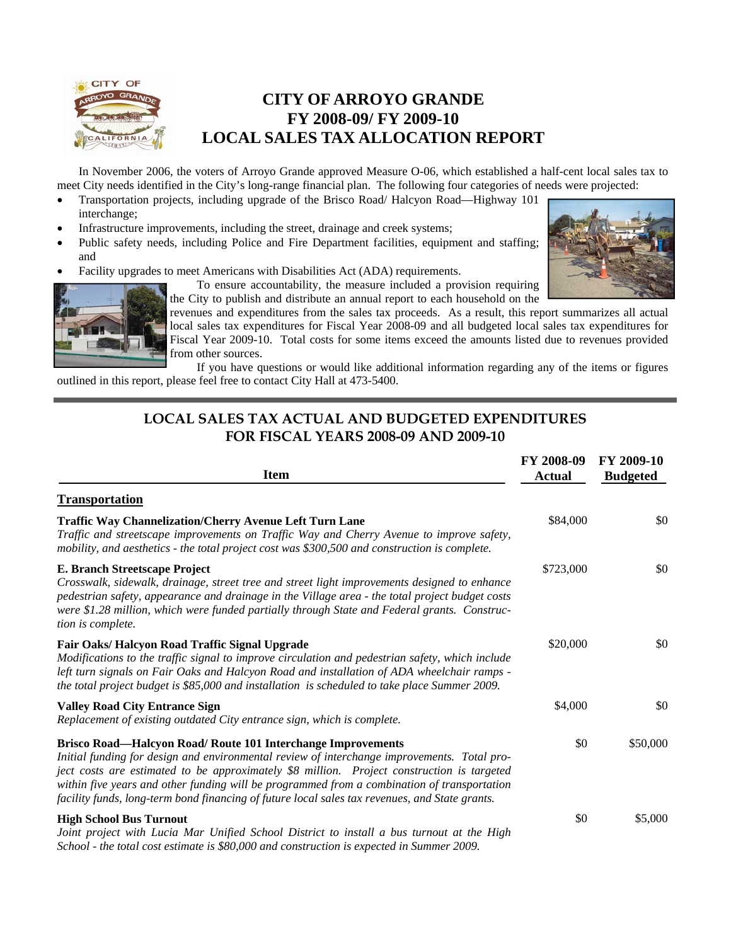

## **CITY OF ARROYO GRANDE FY 2008-09/ FY 2009-10 LOCAL SALES TAX ALLOCATION REPORT**

In November 2006, the voters of Arroyo Grande approved Measure O-06, which established a half-cent local sales tax to meet City needs identified in the City's long-range financial plan. The following four categories of needs were projected:

- Transportation projects, including upgrade of the Brisco Road/ Halcyon Road—Highway 101 interchange;
- Infrastructure improvements, including the street, drainage and creek systems;
- Public safety needs, including Police and Fire Department facilities, equipment and staffing; and
- Facility upgrades to meet Americans with Disabilities Act (ADA) requirements.





the City to publish and distribute an annual report to each household on the revenues and expenditures from the sales tax proceeds. As a result, this report summarizes all actual local sales tax expenditures for Fiscal Year 2008-09 and all budgeted local sales tax expenditures for Fiscal Year 2009-10. Total costs for some items exceed the amounts listed due to revenues provided from other sources.

 If you have questions or would like additional information regarding any of the items or figures outlined in this report, please feel free to contact City Hall at 473-5400.

#### **LOCAL SALES TAX ACTUAL AND BUDGETED EXPENDITURES FOR FISCAL YEARS 2008-09 AND 2009-10**

| <b>Item</b>                                                                                                                                                                                                                                                                                                                                                                                                                                                | FY 2008-09<br><b>Actual</b> | FY 2009-10<br><b>Budgeted</b> |
|------------------------------------------------------------------------------------------------------------------------------------------------------------------------------------------------------------------------------------------------------------------------------------------------------------------------------------------------------------------------------------------------------------------------------------------------------------|-----------------------------|-------------------------------|
| <b>Transportation</b>                                                                                                                                                                                                                                                                                                                                                                                                                                      |                             |                               |
| <b>Traffic Way Channelization/Cherry Avenue Left Turn Lane</b><br>Traffic and streetscape improvements on Traffic Way and Cherry Avenue to improve safety,<br>mobility, and aesthetics - the total project cost was \$300,500 and construction is complete.                                                                                                                                                                                                | \$84,000                    | \$0                           |
| E. Branch Streetscape Project<br>Crosswalk, sidewalk, drainage, street tree and street light improvements designed to enhance<br>pedestrian safety, appearance and drainage in the Village area - the total project budget costs<br>were \$1.28 million, which were funded partially through State and Federal grants. Construc-<br>tion is complete.                                                                                                      | \$723,000                   | \$0                           |
| Fair Oaks/ Halcyon Road Traffic Signal Upgrade<br>Modifications to the traffic signal to improve circulation and pedestrian safety, which include<br>left turn signals on Fair Oaks and Halcyon Road and installation of ADA wheelchair ramps -<br>the total project budget is \$85,000 and installation is scheduled to take place Summer 2009.                                                                                                           | \$20,000                    | \$0                           |
| <b>Valley Road City Entrance Sign</b><br>Replacement of existing outdated City entrance sign, which is complete.                                                                                                                                                                                                                                                                                                                                           | \$4,000                     | \$0                           |
| Brisco Road-Halcyon Road/ Route 101 Interchange Improvements<br>Initial funding for design and environmental review of interchange improvements. Total pro-<br>ject costs are estimated to be approximately \$8 million. Project construction is targeted<br>within five years and other funding will be programmed from a combination of transportation<br>facility funds, long-term bond financing of future local sales tax revenues, and State grants. | \$0                         | \$50,000                      |
| <b>High School Bus Turnout</b><br>Joint project with Lucia Mar Unified School District to install a bus turnout at the High<br>School - the total cost estimate is \$80,000 and construction is expected in Summer 2009.                                                                                                                                                                                                                                   | \$0                         | \$5,000                       |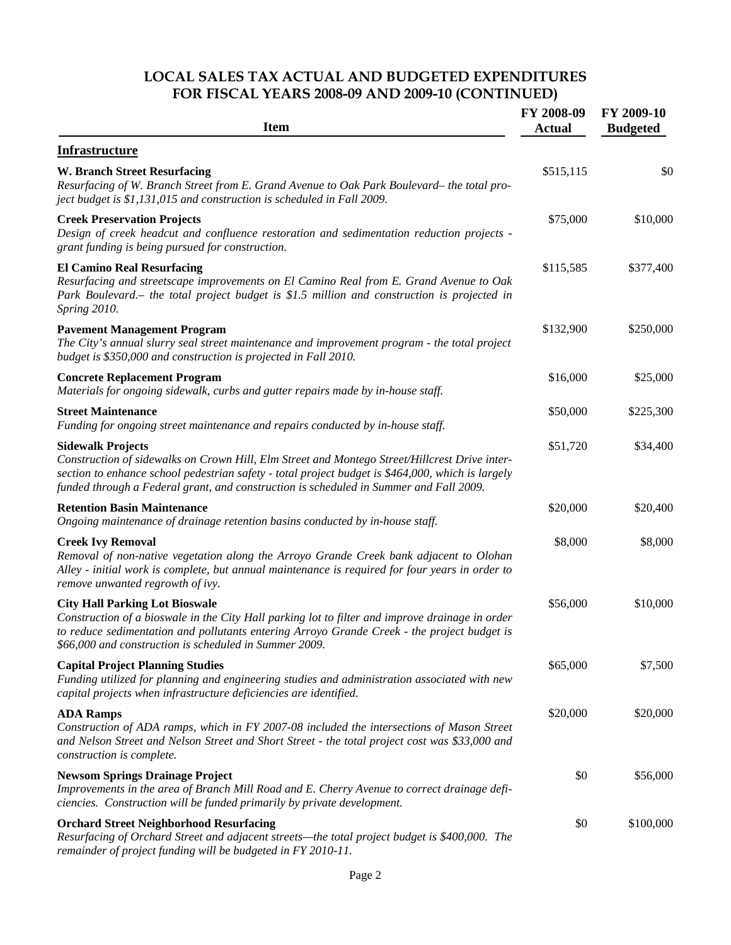### **LOCAL SALES TAX ACTUAL AND BUDGETED EXPENDITURES FOR FISCAL YEARS 2008-09 AND 2009-10 (CONTINUED)**

| <b>Item</b>                                                                                                                                                                                                                                                                                                              | FY 2008-09<br><b>Actual</b> | FY 2009-10<br><b>Budgeted</b> |
|--------------------------------------------------------------------------------------------------------------------------------------------------------------------------------------------------------------------------------------------------------------------------------------------------------------------------|-----------------------------|-------------------------------|
| <b>Infrastructure</b>                                                                                                                                                                                                                                                                                                    |                             |                               |
| <b>W. Branch Street Resurfacing</b><br>Resurfacing of W. Branch Street from E. Grand Avenue to Oak Park Boulevard– the total pro-<br>ject budget is \$1,131,015 and construction is scheduled in Fall 2009.                                                                                                              | \$515,115                   | \$0                           |
| <b>Creek Preservation Projects</b><br>Design of creek headcut and confluence restoration and sedimentation reduction projects -<br>grant funding is being pursued for construction.                                                                                                                                      | \$75,000                    | \$10,000                      |
| <b>El Camino Real Resurfacing</b><br>Resurfacing and streetscape improvements on El Camino Real from E. Grand Avenue to Oak<br>Park Boulevard. – the total project budget is \$1.5 million and construction is projected in<br>Spring 2010.                                                                              | \$115,585                   | \$377,400                     |
| <b>Pavement Management Program</b><br>The City's annual slurry seal street maintenance and improvement program - the total project<br>budget is \$350,000 and construction is projected in Fall 2010.                                                                                                                    | \$132,900                   | \$250,000                     |
| <b>Concrete Replacement Program</b><br>Materials for ongoing sidewalk, curbs and gutter repairs made by in-house staff.                                                                                                                                                                                                  | \$16,000                    | \$25,000                      |
| <b>Street Maintenance</b><br>Funding for ongoing street maintenance and repairs conducted by in-house staff.                                                                                                                                                                                                             | \$50,000                    | \$225,300                     |
| <b>Sidewalk Projects</b><br>Construction of sidewalks on Crown Hill, Elm Street and Montego Street/Hillcrest Drive inter-<br>section to enhance school pedestrian safety - total project budget is \$464,000, which is largely<br>funded through a Federal grant, and construction is scheduled in Summer and Fall 2009. | \$51,720                    | \$34,400                      |
| <b>Retention Basin Maintenance</b><br>Ongoing maintenance of drainage retention basins conducted by in-house staff.                                                                                                                                                                                                      | \$20,000                    | \$20,400                      |
| <b>Creek Ivy Removal</b><br>Removal of non-native vegetation along the Arroyo Grande Creek bank adjacent to Olohan<br>Alley - initial work is complete, but annual maintenance is required for four years in order to<br>remove unwanted regrowth of ivy.                                                                | \$8,000                     | \$8,000                       |
| <b>City Hall Parking Lot Bioswale</b><br>Construction of a bioswale in the City Hall parking lot to filter and improve drainage in order<br>to reduce sedimentation and pollutants entering Arroyo Grande Creek - the project budget is<br>\$66,000 and construction is scheduled in Summer 2009.                        | \$56,000                    | \$10,000                      |
| <b>Capital Project Planning Studies</b><br>Funding utilized for planning and engineering studies and administration associated with new<br>capital projects when infrastructure deficiencies are identified.                                                                                                             | \$65,000                    | \$7,500                       |
| <b>ADA Ramps</b><br>Construction of ADA ramps, which in FY 2007-08 included the intersections of Mason Street<br>and Nelson Street and Nelson Street and Short Street - the total project cost was \$33,000 and<br>construction is complete.                                                                             | \$20,000                    | \$20,000                      |
| <b>Newsom Springs Drainage Project</b><br>Improvements in the area of Branch Mill Road and E. Cherry Avenue to correct drainage defi-<br>ciencies. Construction will be funded primarily by private development.                                                                                                         | \$0                         | \$56,000                      |
| <b>Orchard Street Neighborhood Resurfacing</b><br>Resurfacing of Orchard Street and adjacent streets—the total project budget is \$400,000. The<br>remainder of project funding will be budgeted in FY 2010-11.                                                                                                          | \$0                         | \$100,000                     |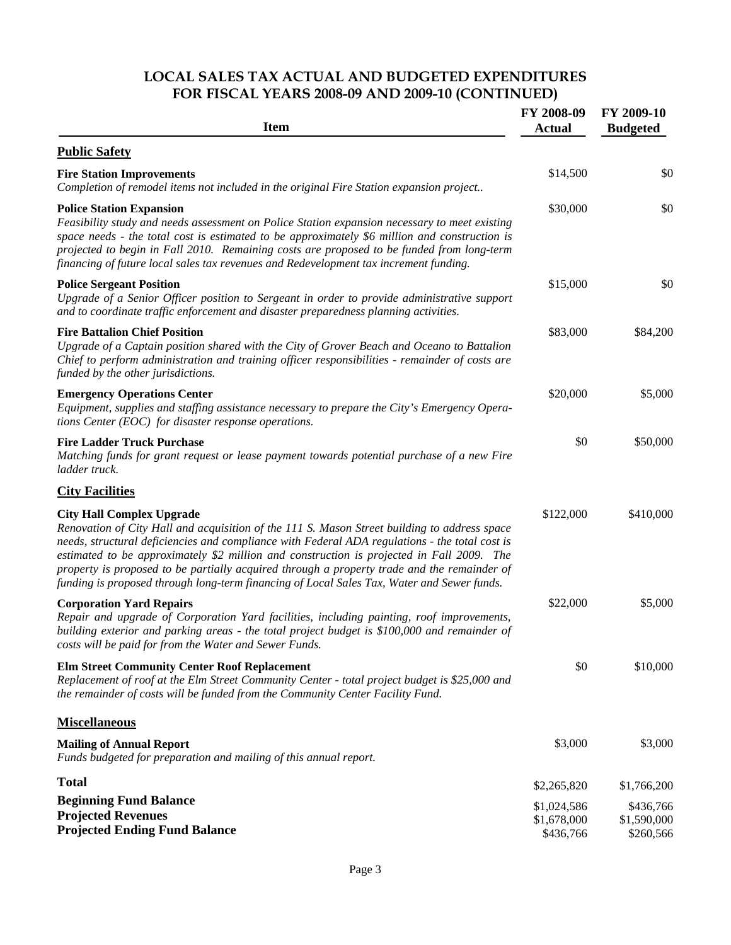### **LOCAL SALES TAX ACTUAL AND BUDGETED EXPENDITURES FOR FISCAL YEARS 2008-09 AND 2009-10 (CONTINUED)**

| <b>Item</b>                                                                                                                                                                                                                                                                                                                                                                                                                                                                                                                  | FY 2008-09<br><b>Actual</b>             | FY 2009-10<br><b>Budgeted</b>         |
|------------------------------------------------------------------------------------------------------------------------------------------------------------------------------------------------------------------------------------------------------------------------------------------------------------------------------------------------------------------------------------------------------------------------------------------------------------------------------------------------------------------------------|-----------------------------------------|---------------------------------------|
| <b>Public Safety</b>                                                                                                                                                                                                                                                                                                                                                                                                                                                                                                         |                                         |                                       |
| <b>Fire Station Improvements</b><br>Completion of remodel items not included in the original Fire Station expansion project                                                                                                                                                                                                                                                                                                                                                                                                  | \$14,500                                | \$0                                   |
| <b>Police Station Expansion</b><br>Feasibility study and needs assessment on Police Station expansion necessary to meet existing<br>space needs - the total cost is estimated to be approximately \$6 million and construction is<br>projected to begin in Fall 2010. Remaining costs are proposed to be funded from long-term<br>financing of future local sales tax revenues and Redevelopment tax increment funding.                                                                                                      | \$30,000                                | \$0                                   |
| <b>Police Sergeant Position</b><br>Upgrade of a Senior Officer position to Sergeant in order to provide administrative support<br>and to coordinate traffic enforcement and disaster preparedness planning activities.                                                                                                                                                                                                                                                                                                       | \$15,000                                | \$0                                   |
| <b>Fire Battalion Chief Position</b><br>Upgrade of a Captain position shared with the City of Grover Beach and Oceano to Battalion<br>Chief to perform administration and training officer responsibilities - remainder of costs are<br>funded by the other jurisdictions.                                                                                                                                                                                                                                                   | \$83,000                                | \$84,200                              |
| <b>Emergency Operations Center</b><br>Equipment, supplies and staffing assistance necessary to prepare the City's Emergency Opera-<br>tions Center (EOC) for disaster response operations.                                                                                                                                                                                                                                                                                                                                   | \$20,000                                | \$5,000                               |
| <b>Fire Ladder Truck Purchase</b><br>Matching funds for grant request or lease payment towards potential purchase of a new Fire<br>ladder truck.                                                                                                                                                                                                                                                                                                                                                                             | \$0                                     | \$50,000                              |
| <b>City Facilities</b>                                                                                                                                                                                                                                                                                                                                                                                                                                                                                                       |                                         |                                       |
| <b>City Hall Complex Upgrade</b><br>Renovation of City Hall and acquisition of the 111 S. Mason Street building to address space<br>needs, structural deficiencies and compliance with Federal ADA regulations - the total cost is<br>estimated to be approximately \$2 million and construction is projected in Fall 2009. The<br>property is proposed to be partially acquired through a property trade and the remainder of<br>funding is proposed through long-term financing of Local Sales Tax, Water and Sewer funds. | \$122,000                               | \$410,000                             |
| <b>Corporation Yard Repairs</b><br>Repair and upgrade of Corporation Yard facilities, including painting, roof improvements,<br>building exterior and parking areas - the total project budget is \$100,000 and remainder of<br>costs will be paid for from the Water and Sewer Funds.                                                                                                                                                                                                                                       | \$22,000                                | \$5,000                               |
| <b>Elm Street Community Center Roof Replacement</b><br>Replacement of roof at the Elm Street Community Center - total project budget is \$25,000 and<br>the remainder of costs will be funded from the Community Center Facility Fund.                                                                                                                                                                                                                                                                                       | \$0                                     | \$10,000                              |
| <b>Miscellaneous</b>                                                                                                                                                                                                                                                                                                                                                                                                                                                                                                         |                                         |                                       |
| <b>Mailing of Annual Report</b><br>Funds budgeted for preparation and mailing of this annual report.                                                                                                                                                                                                                                                                                                                                                                                                                         | \$3,000                                 | \$3,000                               |
| <b>Total</b>                                                                                                                                                                                                                                                                                                                                                                                                                                                                                                                 | \$2,265,820                             | \$1,766,200                           |
| <b>Beginning Fund Balance</b><br><b>Projected Revenues</b><br><b>Projected Ending Fund Balance</b>                                                                                                                                                                                                                                                                                                                                                                                                                           | \$1,024,586<br>\$1,678,000<br>\$436,766 | \$436,766<br>\$1,590,000<br>\$260,566 |